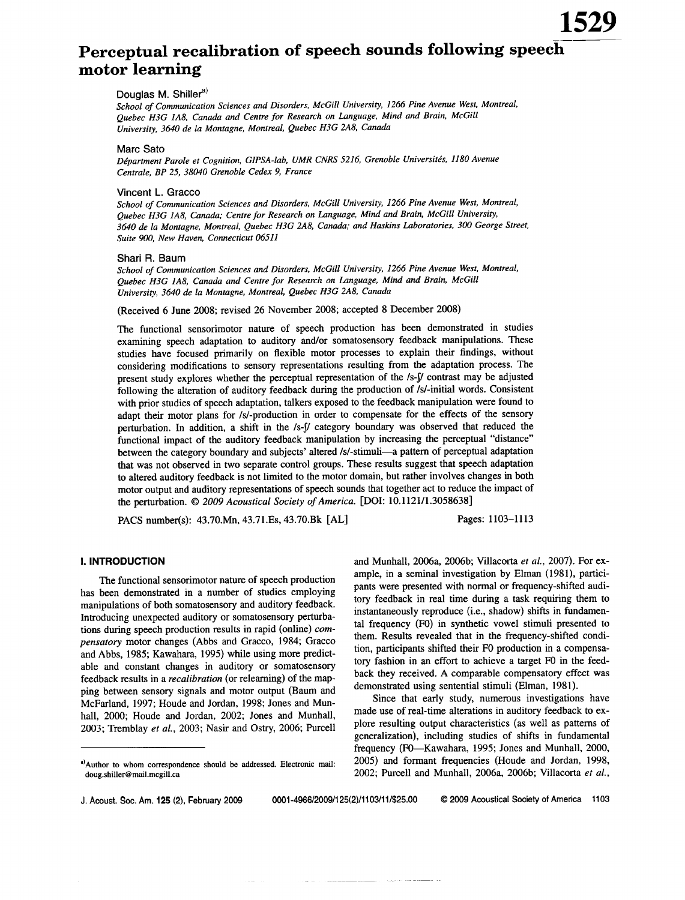# Perceptual recalibration of speech sounds following speech motor learning

## Douglas M. Shiller<sup>a)</sup>

School of Communication Sciences and Disorders, McGill University, 1266 Pine Avenue West, Montreal, Quebec H3G 1A8, Canada and Centre for Research on Language, Mind and Brain, McGill University, 3640 de la Montagne, Montreal, Quebec H3G 2A8, Canada

#### **Marc Sato**

Départment Parole et Cognition, GIPSA-lab, UMR CNRS 5216, Grenoble Universités, 1180 Avenue Centrale, BP 25, 38040 Grenoble Cedex 9, France

#### Vincent L. Gracco

School of Communication Sciences and Disorders, McGill University, 1266 Pine Avenue West, Montreal, Quebec H3G 1A8, Canada; Centre for Research on Language, Mind and Brain, McGill University, 3640 de la Montagne, Montreal, Quebec H3G 2A8, Canada; and Haskins Laboratories, 300 George Street, Suite 900. New Haven. Connecticut 06511

#### Shari R. Baum

School of Communication Sciences and Disorders, McGill University, 1266 Pine Avenue West, Montreal, Ouebec H3G 1A8, Canada and Centre for Research on Language, Mind and Brain, McGill University, 3640 de la Montagne, Montreal, Quebec H3G 2A8, Canada

(Received 6 June 2008; revised 26 November 2008; accepted 8 December 2008)

The functional sensorimotor nature of speech production has been demonstrated in studies examining speech adaptation to auditory and/or somatosensory feedback manipulations. These studies have focused primarily on flexible motor processes to explain their findings, without considering modifications to sensory representations resulting from the adaptation process. The present study explores whether the perceptual representation of the /s-f/ contrast may be adjusted following the alteration of auditory feedback during the production of /s/-initial words. Consistent with prior studies of speech adaptation, talkers exposed to the feedback manipulation were found to adapt their motor plans for /s/-production in order to compensate for the effects of the sensory perturbation. In addition, a shift in the /s-f/ category boundary was observed that reduced the functional impact of the auditory feedback manipulation by increasing the perceptual "distance" between the category boundary and subjects' altered /s/-stimuli-a pattern of perceptual adaptation that was not observed in two separate control groups. These results suggest that speech adaptation to altered auditory feedback is not limited to the motor domain, but rather involves changes in both motor output and auditory representations of speech sounds that together act to reduce the impact of the perturbation. © 2009 Acoustical Society of America. [DOI: 10.1121/1.3058638]

PACS number(s): 43.70.Mn, 43.71.Es, 43.70.Bk [AL]

Pages: 1103-1113

## **I. INTRODUCTION**

The functional sensorimotor nature of speech production has been demonstrated in a number of studies employing manipulations of both somatosensory and auditory feedback. Introducing unexpected auditory or somatosensory perturbations during speech production results in rapid (online) com*pensatory* motor changes (Abbs and Gracco, 1984; Gracco and Abbs, 1985; Kawahara, 1995) while using more predictable and constant changes in auditory or somatosensory feedback results in a *recalibration* (or relearning) of the mapping between sensory signals and motor output (Baum and McFarland, 1997; Houde and Jordan, 1998; Jones and Munhall, 2000; Houde and Jordan, 2002; Jones and Munhall, 2003; Tremblay et al., 2003; Nasir and Ostry, 2006; Purcell and Munhall, 2006a, 2006b; Villacorta et al., 2007). For example, in a seminal investigation by Elman (1981), participants were presented with normal or frequency-shifted auditory feedback in real time during a task requiring them to instantaneously reproduce (i.e., shadow) shifts in fundamental frequency (F0) in synthetic vowel stimuli presented to them. Results revealed that in the frequency-shifted condition, participants shifted their F0 production in a compensatory fashion in an effort to achieve a target F0 in the feedback they received. A comparable compensatory effect was demonstrated using sentential stimuli (Elman, 1981).

Since that early study, numerous investigations have made use of real-time alterations in auditory feedback to explore resulting output characteristics (as well as patterns of generalization), including studies of shifts in fundamental frequency (F0—Kawahara, 1995; Jones and Munhall, 2000, 2005) and formant frequencies (Houde and Jordan, 1998, 2002; Purcell and Munhall, 2006a, 2006b; Villacorta et al.,

0001-4966/2009/125(2)/1103/11/\$25.00

a) Author to whom correspondence should be addressed. Electronic mail: doug.shiller@mail.mcgill.ca

J. Acoust. Soc. Am. 125 (2), February 2009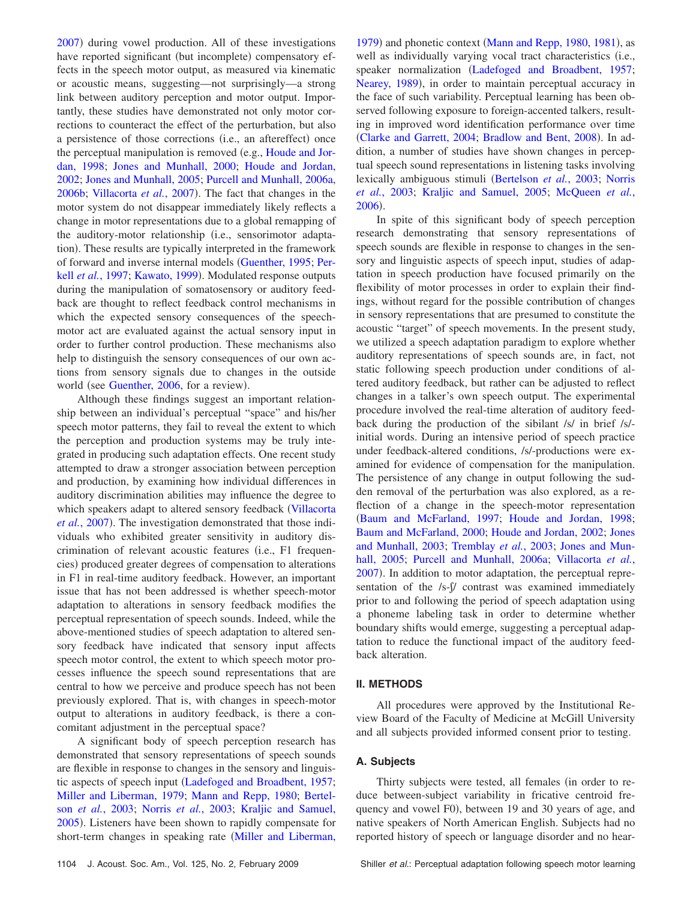[2007](#page-10-0)) during vowel production. All of these investigations have reported significant (but incomplete) compensatory effects in the speech motor output, as measured via kinematic or acoustic means, suggesting—not surprisingly—a strong link between auditory perception and motor output. Importantly, these studies have demonstrated not only motor corrections to counteract the effect of the perturbation, but also a persistence of those corrections (i.e., an aftereffect) once the perceptual manipulation is removed (e.g., [Houde and Jor](#page-9-0)[dan, 1998;](#page-9-0) [Jones and Munhall, 2000;](#page-9-1) [Houde and Jordan,](#page-9-2) [2002;](#page-9-2) [Jones and Munhall, 2005;](#page-9-3) [Purcell and Munhall, 2006a,](#page-10-1) [2006b;](#page-10-2) [Villacorta](#page-10-0) et al., 2007). The fact that changes in the motor system do not disappear immediately likely reflects a change in motor representations due to a global remapping of the auditory-motor relationship (i.e., sensorimotor adaptation). These results are typically interpreted in the framework of forward and inverse internal models [Guenther, 1995;](#page-9-4) [Per-](#page-9-5)kell et al.[, 1997;](#page-9-5) [Kawato, 1999](#page-9-6)). Modulated response outputs during the manipulation of somatosensory or auditory feedback are thought to reflect feedback control mechanisms in which the expected sensory consequences of the speechmotor act are evaluated against the actual sensory input in order to further control production. These mechanisms also help to distinguish the sensory consequences of our own actions from sensory signals due to changes in the outside world (see [Guenther, 2006,](#page-9-7) for a review).

Although these findings suggest an important relationship between an individual's perceptual "space" and his/her speech motor patterns, they fail to reveal the extent to which the perception and production systems may be truly integrated in producing such adaptation effects. One recent study attempted to draw a stronger association between perception and production, by examining how individual differences in auditory discrimination abilities may influence the degree to which speakers adapt to altered sensory feedback ([Villacorta](#page-10-0) et al.[, 2007](#page-10-0)). The investigation demonstrated that those individuals who exhibited greater sensitivity in auditory discrimination of relevant acoustic features (i.e., F1 frequencies) produced greater degrees of compensation to alterations in F1 in real-time auditory feedback. However, an important issue that has not been addressed is whether speech-motor adaptation to alterations in sensory feedback modifies the perceptual representation of speech sounds. Indeed, while the above-mentioned studies of speech adaptation to altered sensory feedback have indicated that sensory input affects speech motor control, the extent to which speech motor processes influence the speech sound representations that are central to how we perceive and produce speech has not been previously explored. That is, with changes in speech-motor output to alterations in auditory feedback, is there a concomitant adjustment in the perceptual space?

A significant body of speech perception research has demonstrated that sensory representations of speech sounds are flexible in response to changes in the sensory and linguistic aspects of speech input [Ladefoged and Broadbent, 1957;](#page-9-8) [Miller and Liberman, 1979;](#page-9-9) [Mann and Repp, 1980;](#page-9-10) [Bertel](#page-9-11)son *et al.*[, 2003;](#page-9-11) Norris *et al.*[, 2003;](#page-9-12) [Kraljic and Samuel,](#page-9-13) [2005](#page-9-13)). Listeners have been shown to rapidly compensate for short-term changes in speaking rate ([Miller and Liberman,](#page-9-9)

[1979](#page-9-9)) and phonetic context ([Mann and Repp, 1980,](#page-9-10) [1981](#page-9-14)), as well as individually varying vocal tract characteristics (i.e., speaker normalization ([Ladefoged and Broadbent, 1957;](#page-9-8) [Nearey, 1989](#page-9-15)), in order to maintain perceptual accuracy in the face of such variability. Perceptual learning has been observed following exposure to foreign-accented talkers, resulting in improved word identification performance over time ([Clarke and Garrett, 2004;](#page-9-16) [Bradlow and Bent, 2008](#page-9-17)). In addition, a number of studies have shown changes in perceptual speech sound representations in listening tasks involving lexically ambiguous stimuli [Bertelson](#page-9-11) *et al.*, 2003; [Norris](#page-9-12) *et al.*[, 2003;](#page-9-12) [Kraljic and Samuel, 2005;](#page-9-13) [McQueen](#page-9-18) *et al.*, [2006](#page-9-18)).

In spite of this significant body of speech perception research demonstrating that sensory representations of speech sounds are flexible in response to changes in the sensory and linguistic aspects of speech input, studies of adaptation in speech production have focused primarily on the flexibility of motor processes in order to explain their findings, without regard for the possible contribution of changes in sensory representations that are presumed to constitute the acoustic "target" of speech movements. In the present study, we utilized a speech adaptation paradigm to explore whether auditory representations of speech sounds are, in fact, not static following speech production under conditions of altered auditory feedback, but rather can be adjusted to reflect changes in a talker's own speech output. The experimental procedure involved the real-time alteration of auditory feedback during the production of the sibilant /s/ in brief /s/ initial words. During an intensive period of speech practice under feedback-altered conditions, /s/-productions were examined for evidence of compensation for the manipulation. The persistence of any change in output following the sudden removal of the perturbation was also explored, as a reflection of a change in the speech-motor representation [Baum and McFarland, 1997;](#page-9-19) [Houde and Jordan, 1998;](#page-9-0) [Baum and McFarland, 2000;](#page-9-20) [Houde and Jordan, 2002;](#page-9-2) [Jones](#page-9-21) [and Munhall, 2003;](#page-9-21) [Tremblay](#page-10-3) *et al.*, 2003; [Jones and Mun](#page-9-3)[hall, 2005;](#page-9-3) [Purcell and Munhall, 2006a;](#page-10-1) [Villacorta](#page-10-0) *et al.*, [2007](#page-10-0)). In addition to motor adaptation, the perceptual representation of the  $/s$ - $\int$  contrast was examined immediately prior to and following the period of speech adaptation using a phoneme labeling task in order to determine whether boundary shifts would emerge, suggesting a perceptual adaptation to reduce the functional impact of the auditory feedback alteration.

## **II. METHODS**

All procedures were approved by the Institutional Review Board of the Faculty of Medicine at McGill University and all subjects provided informed consent prior to testing.

## **A. Subjects**

Thirty subjects were tested, all females (in order to reduce between-subject variability in fricative centroid frequency and vowel F0), between 19 and 30 years of age, and native speakers of North American English. Subjects had no reported history of speech or language disorder and no hear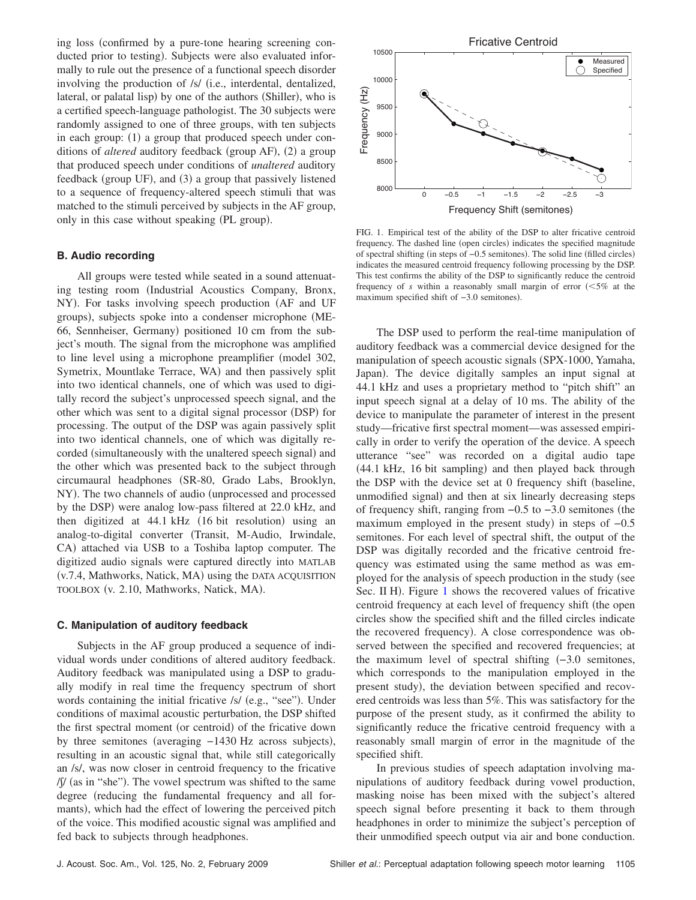ing loss confirmed by a pure-tone hearing screening conducted prior to testing). Subjects were also evaluated informally to rule out the presence of a functional speech disorder involving the production of /s/ (i.e., interdental, dentalized, lateral, or palatal lisp) by one of the authors (Shiller), who is a certified speech-language pathologist. The 30 subjects were randomly assigned to one of three groups, with ten subjects in each group: (1) a group that produced speech under conditions of *altered* auditory feedback (group AF), (2) a group that produced speech under conditions of *unaltered* auditory feedback (group UF), and (3) a group that passively listened to a sequence of frequency-altered speech stimuli that was matched to the stimuli perceived by subjects in the AF group, only in this case without speaking (PL group).

## **B. Audio recording**

All groups were tested while seated in a sound attenuating testing room (Industrial Acoustics Company, Bronx, NY). For tasks involving speech production (AF and UF groups), subjects spoke into a condenser microphone (ME-66, Sennheiser, Germany) positioned 10 cm from the subject's mouth. The signal from the microphone was amplified to line level using a microphone preamplifier (model 302, Symetrix, Mountlake Terrace, WA) and then passively split into two identical channels, one of which was used to digitally record the subject's unprocessed speech signal, and the other which was sent to a digital signal processor (DSP) for processing. The output of the DSP was again passively split into two identical channels, one of which was digitally recorded (simultaneously with the unaltered speech signal) and the other which was presented back to the subject through circumaural headphones (SR-80, Grado Labs, Brooklyn, NY). The two channels of audio (unprocessed and processed by the DSP) were analog low-pass filtered at 22.0 kHz, and then digitized at 44.1 kHz (16 bit resolution) using an analog-to-digital converter (Transit, M-Audio, Irwindale, CA) attached via USB to a Toshiba laptop computer. The digitized audio signals were captured directly into MATLAB (v.7.4, Mathworks, Natick, MA) using the DATA ACQUISITION TOOLBOX (v. 2.10, Mathworks, Natick, MA).

## **C. Manipulation of auditory feedback**

Subjects in the AF group produced a sequence of individual words under conditions of altered auditory feedback. Auditory feedback was manipulated using a DSP to gradually modify in real time the frequency spectrum of short words containing the initial fricative /s/ (e.g., "see"). Under conditions of maximal acoustic perturbation, the DSP shifted the first spectral moment (or centroid) of the fricative down by three semitones (averaging -1430 Hz across subjects), resulting in an acoustic signal that, while still categorically an /s/, was now closer in centroid frequency to the fricative /f/ (as in "she"). The vowel spectrum was shifted to the same degree (reducing the fundamental frequency and all formants), which had the effect of lowering the perceived pitch of the voice. This modified acoustic signal was amplified and fed back to subjects through headphones.

<span id="page-2-0"></span>

FIG. 1. Empirical test of the ability of the DSP to alter fricative centroid frequency. The dashed line (open circles) indicates the specified magnitude of spectral shifting (in steps of -0.5 semitones). The solid line (filled circles) indicates the measured centroid frequency following processing by the DSP. This test confirms the ability of the DSP to significantly reduce the centroid frequency of  $s$  within a reasonably small margin of error  $\approx 5\%$  at the maximum specified shift of -3.0 semitones).

The DSP used to perform the real-time manipulation of auditory feedback was a commercial device designed for the manipulation of speech acoustic signals (SPX-1000, Yamaha, Japan). The device digitally samples an input signal at 44.1 kHz and uses a proprietary method to "pitch shift" an input speech signal at a delay of 10 ms. The ability of the device to manipulate the parameter of interest in the present study—fricative first spectral moment—was assessed empirically in order to verify the operation of the device. A speech utterance "see" was recorded on a digital audio tape (44.1 kHz, 16 bit sampling) and then played back through the DSP with the device set at 0 frequency shift (baseline, unmodified signal) and then at six linearly decreasing steps of frequency shift, ranging from  $-0.5$  to  $-3.0$  semitones (the maximum employed in the present study) in steps of -0.5 semitones. For each level of spectral shift, the output of the DSP was digitally recorded and the fricative centroid frequency was estimated using the same method as was employed for the analysis of speech production in the study (see Sec. II H). Figure [1](#page-2-0) shows the recovered values of fricative centroid frequency at each level of frequency shift (the open circles show the specified shift and the filled circles indicate the recovered frequency). A close correspondence was observed between the specified and recovered frequencies; at the maximum level of spectral shifting  $(-3.0 \text{ semitones},$ which corresponds to the manipulation employed in the present study), the deviation between specified and recovered centroids was less than 5%. This was satisfactory for the purpose of the present study, as it confirmed the ability to significantly reduce the fricative centroid frequency with a reasonably small margin of error in the magnitude of the specified shift.

In previous studies of speech adaptation involving manipulations of auditory feedback during vowel production, masking noise has been mixed with the subject's altered speech signal before presenting it back to them through headphones in order to minimize the subject's perception of their unmodified speech output via air and bone conduction.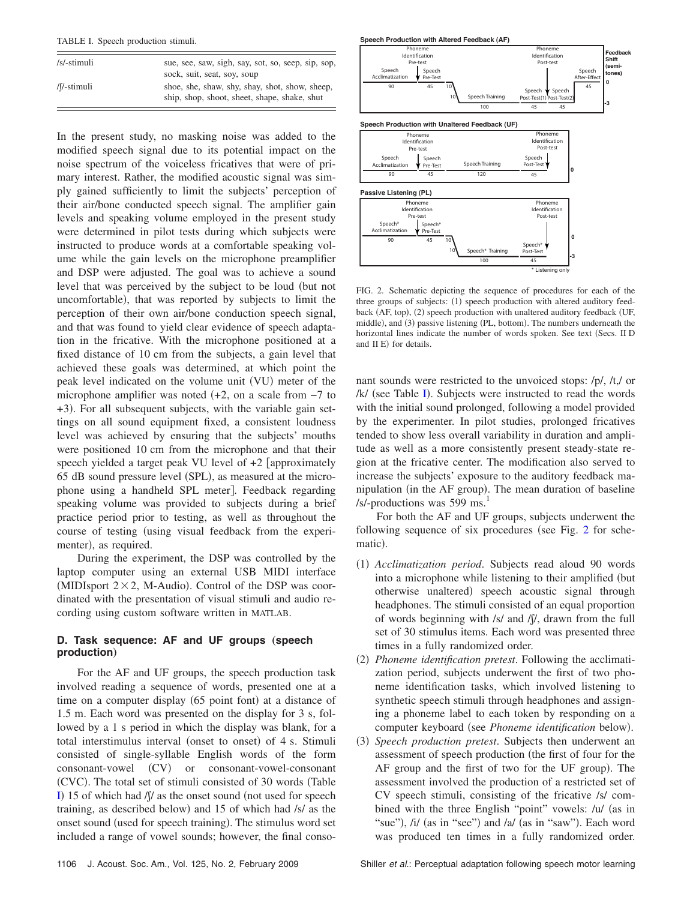<span id="page-3-0"></span>TABLE I. Speech production stimuli.

| /s/-stimuli | sue, see, saw, sigh, say, sot, so, seep, sip, sop,                                             |
|-------------|------------------------------------------------------------------------------------------------|
|             | sock, suit, seat, soy, soup                                                                    |
| /f/-stimuli | shoe, she, shaw, shy, shay, shot, show, sheep,<br>ship, shop, shoot, sheet, shape, shake, shut |

In the present study, no masking noise was added to the modified speech signal due to its potential impact on the noise spectrum of the voiceless fricatives that were of primary interest. Rather, the modified acoustic signal was simply gained sufficiently to limit the subjects' perception of their air/bone conducted speech signal. The amplifier gain levels and speaking volume employed in the present study were determined in pilot tests during which subjects were instructed to produce words at a comfortable speaking volume while the gain levels on the microphone preamplifier and DSP were adjusted. The goal was to achieve a sound level that was perceived by the subject to be loud (but not uncomfortable), that was reported by subjects to limit the perception of their own air/bone conduction speech signal, and that was found to yield clear evidence of speech adaptation in the fricative. With the microphone positioned at a fixed distance of 10 cm from the subjects, a gain level that achieved these goals was determined, at which point the peak level indicated on the volume unit (VU) meter of the microphone amplifier was noted  $(+2)$ , on a scale from  $-7$  to +3). For all subsequent subjects, with the variable gain settings on all sound equipment fixed, a consistent loudness level was achieved by ensuring that the subjects' mouths were positioned 10 cm from the microphone and that their speech yielded a target peak VU level of  $+2$  [approximately 65 dB sound pressure level (SPL), as measured at the microphone using a handheld SPL meter. Feedback regarding speaking volume was provided to subjects during a brief practice period prior to testing, as well as throughout the course of testing (using visual feedback from the experimenter), as required.

During the experiment, the DSP was controlled by the laptop computer using an external USB MIDI interface (MIDIsport  $2 \times 2$ , M-Audio). Control of the DSP was coordinated with the presentation of visual stimuli and audio recording using custom software written in MATLAB.

# **D. Task sequence: AF and UF groups (speech production**…

For the AF and UF groups, the speech production task involved reading a sequence of words, presented one at a time on a computer display (65 point font) at a distance of 1.5 m. Each word was presented on the display for 3 s, followed by a 1 s period in which the display was blank, for a total interstimulus interval (onset to onset) of 4 s. Stimuli consisted of single-syllable English words of the form consonant-vowel (CV) or consonant-vowel-consonant (CVC). The total set of stimuli consisted of 30 words (Table [I](#page-3-0)) 15 of which had  $\int / \int$  as the onset sound (not used for speech training, as described below) and 15 of which had /s/ as the onset sound (used for speech training). The stimulus word set included a range of vowel sounds; however, the final conso-

<span id="page-3-1"></span>

FIG. 2. Schematic depicting the sequence of procedures for each of the three groups of subjects: (1) speech production with altered auditory feedback (AF, top), (2) speech production with unaltered auditory feedback (UF, middle), and (3) passive listening (PL, bottom). The numbers underneath the horizontal lines indicate the number of words spoken. See text (Secs. II D and II E) for details.

nant sounds were restricted to the unvoiced stops: /p/, /t,/ or /k/ (see Table [I](#page-3-0)). Subjects were instructed to read the words with the initial sound prolonged, following a model provided by the experimenter. In pilot studies, prolonged fricatives tended to show less overall variability in duration and amplitude as well as a more consistently present steady-state region at the fricative center. The modification also served to increase the subjects' exposure to the auditory feedback manipulation (in the AF group). The mean duration of baseline /s/-productions was  $599$  ms.<sup>1</sup>

For both the AF and UF groups, subjects underwent the following sequence of six procedures (see Fig.  $2$  for schematic).

- (1) Acclimatization period. Subjects read aloud 90 words into a microphone while listening to their amplified (but otherwise unaltered) speech acoustic signal through headphones. The stimuli consisted of an equal proportion of words beginning with /s/ and  $\int$ / $\int$ , drawn from the full set of 30 stimulus items. Each word was presented three times in a fully randomized order.
- (2) Phoneme identification pretest. Following the acclimatization period, subjects underwent the first of two phoneme identification tasks, which involved listening to synthetic speech stimuli through headphones and assigning a phoneme label to each token by responding on a computer keyboard (see *Phoneme identification* below).
- (3) Speech production pretest. Subjects then underwent an assessment of speech production (the first of four for the AF group and the first of two for the UF group). The assessment involved the production of a restricted set of CV speech stimuli, consisting of the fricative /s/ combined with the three English "point" vowels: /u/ (as in "sue"), /i/ (as in "see") and /a/ (as in "saw"). Each word was produced ten times in a fully randomized order.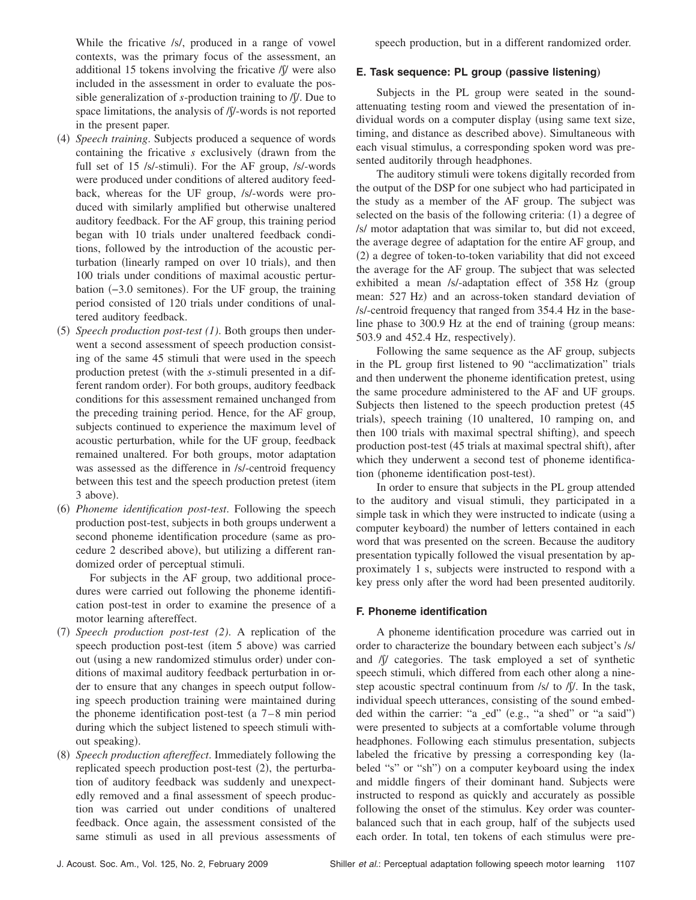While the fricative /s/, produced in a range of vowel contexts, was the primary focus of the assessment, an additional 15 tokens involving the fricative  $\int \int$  were also included in the assessment in order to evaluate the possible generalization of  $s$ -production training to  $\mathcal{N}$ . Due to space limitations, the analysis of  $\int \int$ -words is not reported in the present paper.

- (4) Speech training. Subjects produced a sequence of words containing the fricative *s* exclusively drawn from the full set of 15 /s/-stimuli). For the AF group, /s/-words were produced under conditions of altered auditory feedback, whereas for the UF group, /s/-words were produced with similarly amplified but otherwise unaltered auditory feedback. For the AF group, this training period began with 10 trials under unaltered feedback conditions, followed by the introduction of the acoustic perturbation (linearly ramped on over 10 trials), and then 100 trials under conditions of maximal acoustic perturbation (-3.0 semitones). For the UF group, the training period consisted of 120 trials under conditions of unaltered auditory feedback.
- (5) Speech production post-test (1). Both groups then underwent a second assessment of speech production consisting of the same 45 stimuli that were used in the speech production pretest (with the *s*-stimuli presented in a different random order). For both groups, auditory feedback conditions for this assessment remained unchanged from the preceding training period. Hence, for the AF group, subjects continued to experience the maximum level of acoustic perturbation, while for the UF group, feedback remained unaltered. For both groups, motor adaptation was assessed as the difference in /s/-centroid frequency between this test and the speech production pretest (item 3 above).
- (6) Phoneme identification post-test. Following the speech production post-test, subjects in both groups underwent a second phoneme identification procedure (same as procedure 2 described above), but utilizing a different randomized order of perceptual stimuli.

For subjects in the AF group, two additional procedures were carried out following the phoneme identification post-test in order to examine the presence of a motor learning aftereffect.

- (7) Speech production post-test (2). A replication of the speech production post-test (item 5 above) was carried out (using a new randomized stimulus order) under conditions of maximal auditory feedback perturbation in order to ensure that any changes in speech output following speech production training were maintained during the phoneme identification post-test (a  $7-8$  min period during which the subject listened to speech stimuli without speaking).
- (8) Speech production aftereffect. Immediately following the replicated speech production post-test (2), the perturbation of auditory feedback was suddenly and unexpectedly removed and a final assessment of speech production was carried out under conditions of unaltered feedback. Once again, the assessment consisted of the same stimuli as used in all previous assessments of

speech production, but in a different randomized order.

#### **E. Task sequence: PL group (passive listening)**

Subjects in the PL group were seated in the soundattenuating testing room and viewed the presentation of individual words on a computer display (using same text size, timing, and distance as described above). Simultaneous with each visual stimulus, a corresponding spoken word was presented auditorily through headphones.

The auditory stimuli were tokens digitally recorded from the output of the DSP for one subject who had participated in the study as a member of the AF group. The subject was selected on the basis of the following criteria: (1) a degree of /s/ motor adaptation that was similar to, but did not exceed, the average degree of adaptation for the entire AF group, and (2) a degree of token-to-token variability that did not exceed the average for the AF group. The subject that was selected exhibited a mean /s/-adaptation effect of 358 Hz (group mean: 527 Hz) and an across-token standard deviation of /s/-centroid frequency that ranged from 354.4 Hz in the baseline phase to 300.9 Hz at the end of training (group means: 503.9 and 452.4 Hz, respectively).

Following the same sequence as the AF group, subjects in the PL group first listened to 90 "acclimatization" trials and then underwent the phoneme identification pretest, using the same procedure administered to the AF and UF groups. Subjects then listened to the speech production pretest  $(45)$ trials), speech training (10 unaltered, 10 ramping on, and then 100 trials with maximal spectral shifting), and speech production post-test (45 trials at maximal spectral shift), after which they underwent a second test of phoneme identification (phoneme identification post-test).

In order to ensure that subjects in the PL group attended to the auditory and visual stimuli, they participated in a simple task in which they were instructed to indicate (using a computer keyboard) the number of letters contained in each word that was presented on the screen. Because the auditory presentation typically followed the visual presentation by approximately 1 s, subjects were instructed to respond with a key press only after the word had been presented auditorily.

#### **F. Phoneme identification**

A phoneme identification procedure was carried out in order to characterize the boundary between each subject's /s/ and  $\sqrt{v}$  categories. The task employed a set of synthetic speech stimuli, which differed from each other along a ninestep acoustic spectral continuum from  $/s/$  to  $/\sqrt{V}$ . In the task, individual speech utterances, consisting of the sound embedded within the carrier: "a \_ed" (e.g., "a shed" or "a said") were presented to subjects at a comfortable volume through headphones. Following each stimulus presentation, subjects labeled the fricative by pressing a corresponding key labeled "s" or "sh") on a computer keyboard using the index and middle fingers of their dominant hand. Subjects were instructed to respond as quickly and accurately as possible following the onset of the stimulus. Key order was counterbalanced such that in each group, half of the subjects used each order. In total, ten tokens of each stimulus were pre-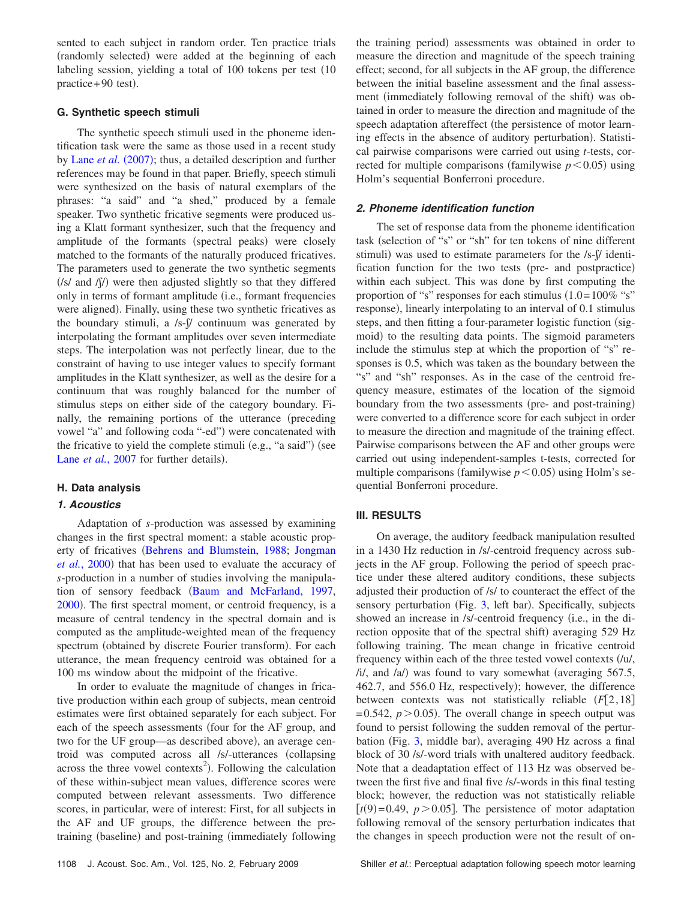sented to each subject in random order. Ten practice trials (randomly selected) were added at the beginning of each labeling session, yielding a total of 100 tokens per test (10) practice + 90 test).

## **G. Synthetic speech stimuli**

The synthetic speech stimuli used in the phoneme identification task were the same as those used in a recent study by Lane *[et al.](#page-9-22)* (2007); thus, a detailed description and further references may be found in that paper. Briefly, speech stimuli were synthesized on the basis of natural exemplars of the phrases: "a said" and "a shed," produced by a female speaker. Two synthetic fricative segments were produced using a Klatt formant synthesizer, such that the frequency and amplitude of the formants (spectral peaks) were closely matched to the formants of the naturally produced fricatives. The parameters used to generate the two synthetic segments  $(|s|$  and  $|f|$ ) were then adjusted slightly so that they differed only in terms of formant amplitude (i.e., formant frequencies were aligned). Finally, using these two synthetic fricatives as the boundary stimuli, a  $/s$ - $\frac{1}{s}$  continuum was generated by interpolating the formant amplitudes over seven intermediate steps. The interpolation was not perfectly linear, due to the constraint of having to use integer values to specify formant amplitudes in the Klatt synthesizer, as well as the desire for a continuum that was roughly balanced for the number of stimulus steps on either side of the category boundary. Finally, the remaining portions of the utterance (preceding vowel "a" and following coda "-ed") were concatenated with the fricative to yield the complete stimuli (e.g., "a said") (see Lane et al.[, 2007](#page-9-22) for further details).

## **H. Data analysis**

# *1. Acoustics*

Adaptation of *s*-production was assessed by examining changes in the first spectral moment: a stable acoustic prop-erty of fricatives ([Behrens and Blumstein, 1988;](#page-9-23) [Jongman](#page-9-24) et al.[, 2000](#page-9-24)) that has been used to evaluate the accuracy of *s*-production in a number of studies involving the manipula-tion of sensory feedback ([Baum and McFarland, 1997,](#page-9-19) [2000](#page-9-20)). The first spectral moment, or centroid frequency, is a measure of central tendency in the spectral domain and is computed as the amplitude-weighted mean of the frequency spectrum (obtained by discrete Fourier transform). For each utterance, the mean frequency centroid was obtained for a 100 ms window about the midpoint of the fricative.

In order to evaluate the magnitude of changes in fricative production within each group of subjects, mean centroid estimates were first obtained separately for each subject. For each of the speech assessments (four for the AF group, and two for the UF group—as described above), an average centroid was computed across all /s/-utterances collapsing across the three vowel contexts<sup>2</sup>). Following the calculation of these within-subject mean values, difference scores were computed between relevant assessments. Two difference scores, in particular, were of interest: First, for all subjects in the AF and UF groups, the difference between the pretraining (baseline) and post-training (immediately following

the training period) assessments was obtained in order to measure the direction and magnitude of the speech training effect; second, for all subjects in the AF group, the difference between the initial baseline assessment and the final assessment (immediately following removal of the shift) was obtained in order to measure the direction and magnitude of the speech adaptation aftereffect (the persistence of motor learning effects in the absence of auditory perturbation). Statistical pairwise comparisons were carried out using *t*-tests, corrected for multiple comparisons (familywise  $p < 0.05$ ) using Holm's sequential Bonferroni procedure.

## *2. Phoneme identification function*

The set of response data from the phoneme identification task (selection of "s" or "sh" for ten tokens of nine different stimuli) was used to estimate parameters for the /s-f/ identification function for the two tests (pre- and postpractice) within each subject. This was done by first computing the proportion of "s" responses for each stimulus  $(1.0=100\%$  "s" response), linearly interpolating to an interval of 0.1 stimulus steps, and then fitting a four-parameter logistic function (sigmoid) to the resulting data points. The sigmoid parameters include the stimulus step at which the proportion of "s" responses is 0.5, which was taken as the boundary between the "s" and "sh" responses. As in the case of the centroid frequency measure, estimates of the location of the sigmoid boundary from the two assessments (pre- and post-training) were converted to a difference score for each subject in order to measure the direction and magnitude of the training effect. Pairwise comparisons between the AF and other groups were carried out using independent-samples t-tests, corrected for multiple comparisons (familywise  $p < 0.05$ ) using Holm's sequential Bonferroni procedure.

## **III. RESULTS**

On average, the auditory feedback manipulation resulted in a 1430 Hz reduction in /s/-centroid frequency across subjects in the AF group. Following the period of speech practice under these altered auditory conditions, these subjects adjusted their production of /s/ to counteract the effect of the sensory perturbation (Fig. [3,](#page-6-0) left bar). Specifically, subjects showed an increase in /s/-centroid frequency (i.e., in the direction opposite that of the spectral shift) averaging 529 Hz following training. The mean change in fricative centroid frequency within each of the three tested vowel contexts  $\ell / \nu /$ , /i/, and /a/) was found to vary somewhat (averaging 567.5, 462.7, and 556.0 Hz, respectively); however, the difference between contexts was not statistically reliable  $(F[2, 18])$  $= 0.542, p > 0.05$ ). The overall change in speech output was found to persist following the sudden removal of the pertur-bation (Fig. [3,](#page-6-0) middle bar), averaging 490 Hz across a final block of 30 /s/-word trials with unaltered auditory feedback. Note that a deadaptation effect of 113 Hz was observed between the first five and final five /s/-words in this final testing block; however, the reduction was not statistically reliable  $[t(9)=0.49, p>0.05]$ . The persistence of motor adaptation following removal of the sensory perturbation indicates that the changes in speech production were not the result of on-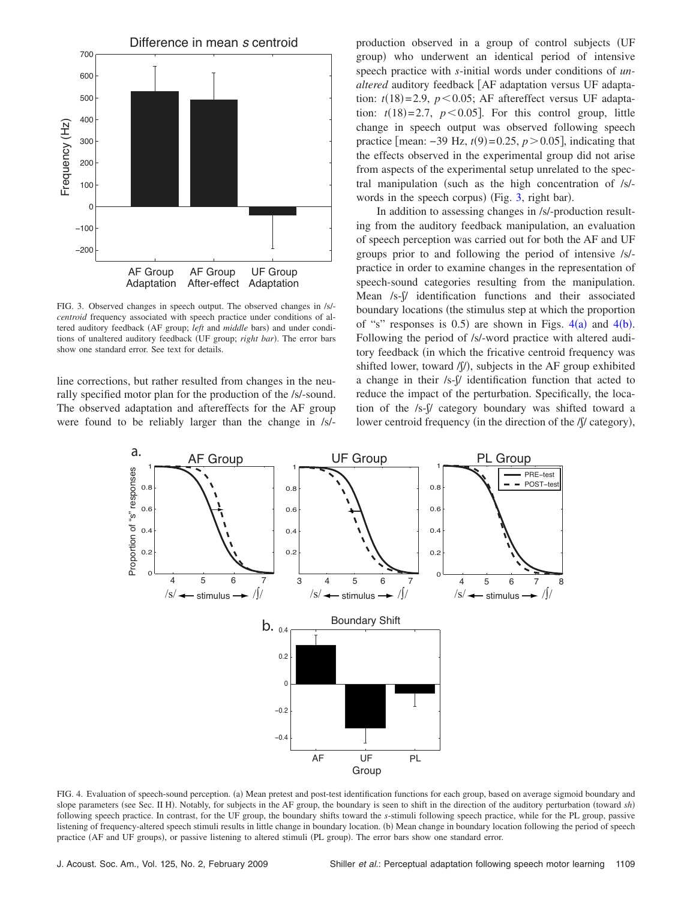<span id="page-6-0"></span>

FIG. 3. Observed changes in speech output. The observed changes in /s/ *centroid* frequency associated with speech practice under conditions of altered auditory feedback (AF group; *left* and *middle* bars) and under conditions of unaltered auditory feedback (UF group; *right bar*). The error bars show one standard error. See text for details.

line corrections, but rather resulted from changes in the neurally specified motor plan for the production of the /s/-sound. The observed adaptation and aftereffects for the AF group were found to be reliably larger than the change in /s/- production observed in a group of control subjects UF group) who underwent an identical period of intensive speech practice with *s*-initial words under conditions of *un*altered auditory feedback [AF adaptation versus UF adaptation:  $t(18)=2.9$ ,  $p<0.05$ ; AF aftereffect versus UF adaptation:  $t(18)=2.7$ ,  $p<0.05$ ]. For this control group, little change in speech output was observed following speech practice [mean:  $-39$  Hz,  $t(9) = 0.25$ ,  $p > 0.05$ ], indicating that the effects observed in the experimental group did not arise from aspects of the experimental setup unrelated to the spectral manipulation (such as the high concentration of  $/s$ )-words in the speech corpus) (Fig. [3,](#page-6-0) right bar).

In addition to assessing changes in /s/-production resulting from the auditory feedback manipulation, an evaluation of speech perception was carried out for both the AF and UF groups prior to and following the period of intensive /s/ practice in order to examine changes in the representation of speech-sound categories resulting from the manipulation. Mean /s- $\beta$  identification functions and their associated boundary locations (the stimulus step at which the proportion of "s" responses is 0.5) are shown in Figs.  $4(a)$  $4(a)$  and  $4(b)$ . Following the period of /s/-word practice with altered auditory feedback in which the fricative centroid frequency was shifted lower, toward /f/), subjects in the AF group exhibited a change in their  $/s$ - $\beta$  identification function that acted to reduce the impact of the perturbation. Specifically, the location of the /s- $\beta$ / category boundary was shifted toward a lower centroid frequency (in the direction of the /ʃ/ category),

<span id="page-6-1"></span>

FIG. 4. Evaluation of speech-sound perception. (a) Mean pretest and post-test identification functions for each group, based on average sigmoid boundary and slope parameters (see Sec. II H). Notably, for subjects in the AF group, the boundary is seen to shift in the direction of the auditory perturbation (toward sh) following speech practice. In contrast, for the UF group, the boundary shifts toward the *s*-stimuli following speech practice, while for the PL group, passive listening of frequency-altered speech stimuli results in little change in boundary location. (b) Mean change in boundary location following the period of speech practice (AF and UF groups), or passive listening to altered stimuli (PL group). The error bars show one standard error.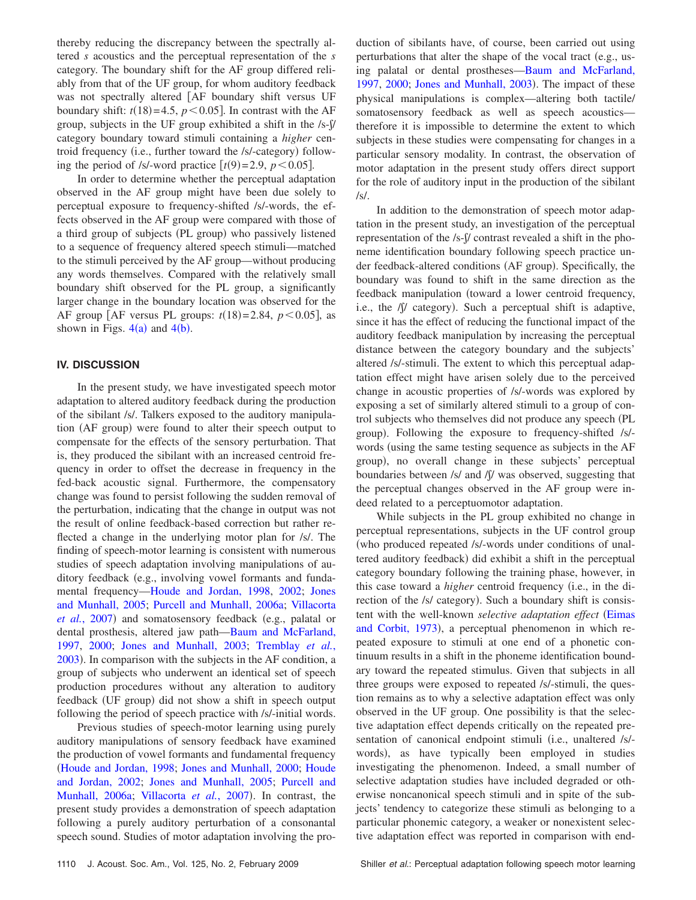thereby reducing the discrepancy between the spectrally altered *s* acoustics and the perceptual representation of the *s* category. The boundary shift for the AF group differed reliably from that of the UF group, for whom auditory feedback was not spectrally altered [AF boundary shift versus UF boundary shift:  $t(18)=4.5$ ,  $p<0.05$ . In contrast with the AF group, subjects in the UF group exhibited a shift in the  $/s$ - $\frac{1}{s}$ category boundary toward stimuli containing a *higher* centroid frequency (i.e., further toward the /s/-category) following the period of /s/-word practice  $[t(9)=2.9, p<0.05]$ .

In order to determine whether the perceptual adaptation observed in the AF group might have been due solely to perceptual exposure to frequency-shifted /s/-words, the effects observed in the AF group were compared with those of a third group of subjects (PL group) who passively listened to a sequence of frequency altered speech stimuli—matched to the stimuli perceived by the AF group—without producing any words themselves. Compared with the relatively small boundary shift observed for the PL group, a significantly larger change in the boundary location was observed for the AF group [AF versus PL groups:  $t(18)=2.84$ ,  $p<0.05$ ], as shown in Figs.  $4(a)$  $4(a)$  and  $4(b)$ .

## **IV. DISCUSSION**

In the present study, we have investigated speech motor adaptation to altered auditory feedback during the production of the sibilant /s/. Talkers exposed to the auditory manipulation (AF group) were found to alter their speech output to compensate for the effects of the sensory perturbation. That is, they produced the sibilant with an increased centroid frequency in order to offset the decrease in frequency in the fed-back acoustic signal. Furthermore, the compensatory change was found to persist following the sudden removal of the perturbation, indicating that the change in output was not the result of online feedback-based correction but rather reflected a change in the underlying motor plan for /s/. The finding of speech-motor learning is consistent with numerous studies of speech adaptation involving manipulations of auditory feedback (e.g., involving vowel formants and fundamental frequency[—Houde and Jordan, 1998,](#page-9-0) [2002;](#page-9-2) [Jones](#page-9-3) [and Munhall, 2005;](#page-9-3) [Purcell and Munhall, 2006a;](#page-10-1) [Villacorta](#page-10-0) et al.[, 2007](#page-10-0)) and somatosensory feedback (e.g., palatal or dental prosthesis, altered jaw path[—Baum and McFarland,](#page-9-19) [1997,](#page-9-19) [2000;](#page-9-20) [Jones and Munhall, 2003;](#page-9-21) [Tremblay](#page-10-3) *et al.*, [2003](#page-10-3)). In comparison with the subjects in the AF condition, a group of subjects who underwent an identical set of speech production procedures without any alteration to auditory feedback (UF group) did not show a shift in speech output following the period of speech practice with /s/-initial words.

Previous studies of speech-motor learning using purely auditory manipulations of sensory feedback have examined the production of vowel formants and fundamental frequency [Houde and Jordan, 1998;](#page-9-0) [Jones and Munhall, 2000;](#page-9-1) [Houde](#page-9-2) [and Jordan, 2002;](#page-9-2) [Jones and Munhall, 2005;](#page-9-3) [Purcell and](#page-10-1) [Munhall, 2006a;](#page-10-1) [Villacorta](#page-10-0) et al., 2007). In contrast, the present study provides a demonstration of speech adaptation following a purely auditory perturbation of a consonantal speech sound. Studies of motor adaptation involving the production of sibilants have, of course, been carried out using perturbations that alter the shape of the vocal tract (e.g., using palatal or dental prostheses[—Baum and McFarland,](#page-9-19) [1997,](#page-9-19) [2000;](#page-9-20) [Jones and Munhall, 2003](#page-9-21)). The impact of these physical manipulations is complex—altering both tactile/ somatosensory feedback as well as speech acoustics therefore it is impossible to determine the extent to which subjects in these studies were compensating for changes in a particular sensory modality. In contrast, the observation of motor adaptation in the present study offers direct support for the role of auditory input in the production of the sibilant /s/.

In addition to the demonstration of speech motor adaptation in the present study, an investigation of the perceptual representation of the /s- $\int$ / contrast revealed a shift in the phoneme identification boundary following speech practice under feedback-altered conditions (AF group). Specifically, the boundary was found to shift in the same direction as the feedback manipulation (toward a lower centroid frequency, i.e., the /ʃ/ category). Such a perceptual shift is adaptive, since it has the effect of reducing the functional impact of the auditory feedback manipulation by increasing the perceptual distance between the category boundary and the subjects' altered /s/-stimuli. The extent to which this perceptual adaptation effect might have arisen solely due to the perceived change in acoustic properties of /s/-words was explored by exposing a set of similarly altered stimuli to a group of control subjects who themselves did not produce any speech PL group). Following the exposure to frequency-shifted /s/words (using the same testing sequence as subjects in the AF group), no overall change in these subjects' perceptual boundaries between /s/ and  $\int$ / $\int$ / was observed, suggesting that the perceptual changes observed in the AF group were indeed related to a perceptuomotor adaptation.

While subjects in the PL group exhibited no change in perceptual representations, subjects in the UF control group who produced repeated /s/-words under conditions of unaltered auditory feedback) did exhibit a shift in the perceptual category boundary following the training phase, however, in this case toward a *higher* centroid frequency (i.e., in the direction of the /s/ category). Such a boundary shift is consistent with the well-known *selective adaptation effect* ([Eimas](#page-9-25) [and Corbit, 1973](#page-9-25)), a perceptual phenomenon in which repeated exposure to stimuli at one end of a phonetic continuum results in a shift in the phoneme identification boundary toward the repeated stimulus. Given that subjects in all three groups were exposed to repeated /s/-stimuli, the question remains as to why a selective adaptation effect was only observed in the UF group. One possibility is that the selective adaptation effect depends critically on the repeated presentation of canonical endpoint stimuli (i.e., unaltered /s/words), as have typically been employed in studies investigating the phenomenon. Indeed, a small number of selective adaptation studies have included degraded or otherwise noncanonical speech stimuli and in spite of the subjects' tendency to categorize these stimuli as belonging to a particular phonemic category, a weaker or nonexistent selective adaptation effect was reported in comparison with end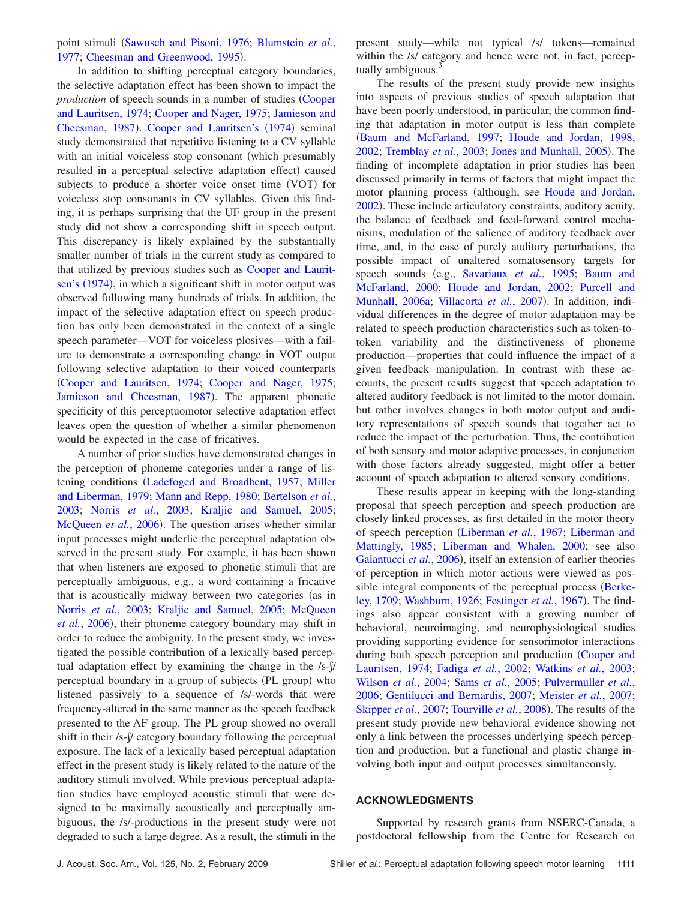point stimuli ([Sawusch and Pisoni, 1976;](#page-10-4) [Blumstein](#page-9-26) et al., [1977;](#page-9-26) [Cheesman and Greenwood, 1995](#page-9-27)).

In addition to shifting perceptual category boundaries, the selective adaptation effect has been shown to impact the *production* of speech sounds in a number of studies ([Cooper](#page-9-28) [and Lauritsen, 1974;](#page-9-28) [Cooper and Nager, 1975;](#page-9-29) [Jamieson and](#page-9-30) [Cheesman, 1987](#page-9-30)). [Cooper and Lauritsen's](#page-9-28) (1974) seminal study demonstrated that repetitive listening to a CV syllable with an initial voiceless stop consonant (which presumably resulted in a perceptual selective adaptation effect) caused subjects to produce a shorter voice onset time (VOT) for voiceless stop consonants in CV syllables. Given this finding, it is perhaps surprising that the UF group in the present study did not show a corresponding shift in speech output. This discrepancy is likely explained by the substantially smaller number of trials in the current study as compared to that utilized by previous studies such as [Cooper and Laurit](#page-9-28)[sen's](#page-9-28) (1974), in which a significant shift in motor output was observed following many hundreds of trials. In addition, the impact of the selective adaptation effect on speech production has only been demonstrated in the context of a single speech parameter—VOT for voiceless plosives—with a failure to demonstrate a corresponding change in VOT output following selective adaptation to their voiced counterparts [Cooper and Lauritsen, 1974;](#page-9-28) [Cooper and Nager, 1975;](#page-9-29) [Jamieson and Cheesman, 1987](#page-9-30)). The apparent phonetic specificity of this perceptuomotor selective adaptation effect leaves open the question of whether a similar phenomenon would be expected in the case of fricatives.

A number of prior studies have demonstrated changes in the perception of phoneme categories under a range of lis-tening conditions ([Ladefoged and Broadbent, 1957;](#page-9-8) [Miller](#page-9-9) [and Liberman, 1979;](#page-9-9) [Mann and Repp, 1980;](#page-9-10) [Bertelson](#page-9-11) *et al.*, [2003;](#page-9-11) Norris *et al.*[, 2003;](#page-9-12) [Kraljic and Samuel, 2005;](#page-9-13) [McQueen](#page-9-18) et al., 2006). The question arises whether similar input processes might underlie the perceptual adaptation observed in the present study. For example, it has been shown that when listeners are exposed to phonetic stimuli that are perceptually ambiguous, e.g., a word containing a fricative that is acoustically midway between two categories (as in Norris *et al.*[, 2003;](#page-9-12) [Kraljic and Samuel, 2005;](#page-9-13) [McQueen](#page-9-18) et al.[, 2006](#page-9-18)), their phoneme category boundary may shift in order to reduce the ambiguity. In the present study, we investigated the possible contribution of a lexically based perceptual adaptation effect by examining the change in the  $/s-\sqrt{b}$ perceptual boundary in a group of subjects (PL group) who listened passively to a sequence of /s/-words that were frequency-altered in the same manner as the speech feedback presented to the AF group. The PL group showed no overall shift in their /s- $\int$ / category boundary following the perceptual exposure. The lack of a lexically based perceptual adaptation effect in the present study is likely related to the nature of the auditory stimuli involved. While previous perceptual adaptation studies have employed acoustic stimuli that were designed to be maximally acoustically and perceptually ambiguous, the /s/-productions in the present study were not degraded to such a large degree. As a result, the stimuli in the

present study—while not typical /s/ tokens—remained within the /s/ category and hence were not, in fact, perceptually ambiguous.<sup>3</sup>

The results of the present study provide new insights into aspects of previous studies of speech adaptation that have been poorly understood, in particular, the common finding that adaptation in motor output is less than complete [Baum and McFarland, 1997;](#page-9-19) [Houde and Jordan, 1998,](#page-9-0) [2002;](#page-9-2) [Tremblay](#page-10-3) et al., 2003; [Jones and Munhall, 2005](#page-9-3)). The finding of incomplete adaptation in prior studies has been discussed primarily in terms of factors that might impact the motor planning process (although, see [Houde and Jordan,](#page-9-2) [2002](#page-9-2)). These include articulatory constraints, auditory acuity, the balance of feedback and feed-forward control mechanisms, modulation of the salience of auditory feedback over time, and, in the case of purely auditory perturbations, the possible impact of unaltered somatosensory targets for speech sounds (e.g., [Savariaux](#page-10-5) et al., 1995; [Baum and](#page-9-20) [McFarland, 2000;](#page-9-20) [Houde and Jordan, 2002;](#page-9-2) [Purcell and](#page-9-15) [Munhall, 2006a;](#page-9-15) [Villacorta](#page-10-0) et al., 2007). In addition, individual differences in the degree of motor adaptation may be related to speech production characteristics such as token-totoken variability and the distinctiveness of phoneme production—properties that could influence the impact of a given feedback manipulation. In contrast with these accounts, the present results suggest that speech adaptation to altered auditory feedback is not limited to the motor domain, but rather involves changes in both motor output and auditory representations of speech sounds that together act to reduce the impact of the perturbation. Thus, the contribution of both sensory and motor adaptive processes, in conjunction with those factors already suggested, might offer a better account of speech adaptation to altered sensory conditions.

These results appear in keeping with the long-standing proposal that speech perception and speech production are closely linked processes, as first detailed in the motor theory of speech perception [Liberman](#page-9-31) *et al.*, 1967; [Liberman and](#page-9-32) [Mattingly, 1985;](#page-9-32) [Liberman and Whalen, 2000;](#page-9-33) see also [Galantucci](#page-9-34) et al., 2006), itself an extension of earlier theories of perception in which motor actions were viewed as pos-sible integral components of the perceptual process ([Berke](#page-9-35)[ley, 1709;](#page-9-35) [Washburn, 1926;](#page-10-6) [Festinger](#page-9-36) et al., 1967). The findings also appear consistent with a growing number of behavioral, neuroimaging, and neurophysiological studies providing supporting evidence for sensorimotor interactions during both speech perception and production ([Cooper and](#page-9-28) [Lauritsen, 1974;](#page-9-28) Fadiga *et al.*[, 2002;](#page-9-37) [Watkins](#page-10-7) *et al.*, 2003; [Wilson](#page-10-8) *et al.*, 2004; Sams *et al.*[, 2005;](#page-10-9) [Pulvermuller](#page-10-10) *et al.*, [2006;](#page-10-10) [Gentilucci and Bernardis, 2007;](#page-9-38) [Meister](#page-9-39) *et al.*, 2007; [Skipper](#page-10-11) *et al.*, 2007; [Tourville](#page-10-12) *et al.*, 2008). The results of the present study provide new behavioral evidence showing not only a link between the processes underlying speech perception and production, but a functional and plastic change involving both input and output processes simultaneously.

## **ACKNOWLEDGMENTS**

Supported by research grants from NSERC-Canada, a postdoctoral fellowship from the Centre for Research on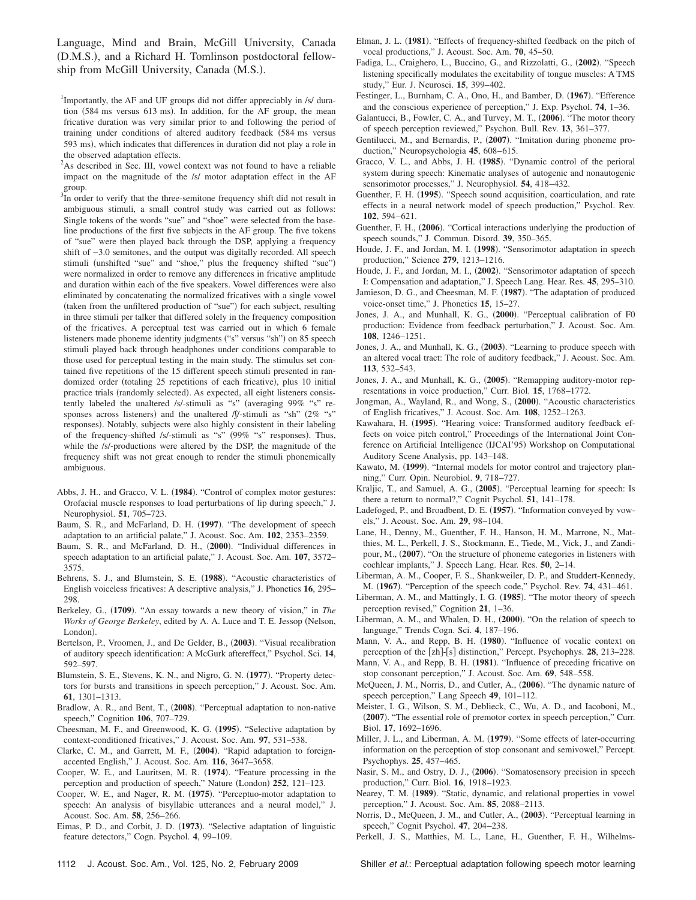Language, Mind and Brain, McGill University, Canada (D.M.S.), and a Richard H. Tomlinson postdoctoral fellowship from McGill University, Canada (M.S.).

<sup>1</sup>Importantly, the AF and UF groups did not differ appreciably in /s/ duration (584 ms versus 613 ms). In addition, for the AF group, the mean fricative duration was very similar prior to and following the period of training under conditions of altered auditory feedback 584 ms versus 593 ms), which indicates that differences in duration did not play a role in the observed adaptation effects.

<sup>2</sup>As described in Sec. III, vowel context was not found to have a reliable impact on the magnitude of the /s/ motor adaptation effect in the AF group.

 $3\overline{I}$  in order to verify that the three-semitone frequency shift did not result in ambiguous stimuli, a small control study was carried out as follows: Single tokens of the words "sue" and "shoe" were selected from the baseline productions of the first five subjects in the AF group. The five tokens of "sue" were then played back through the DSP, applying a frequency shift of −3.0 semitones, and the output was digitally recorded. All speech stimuli (unshifted "sue" and "shoe," plus the frequency shifted "sue") were normalized in order to remove any differences in fricative amplitude and duration within each of the five speakers. Vowel differences were also eliminated by concatenating the normalized fricatives with a single vowel (taken from the unfiltered production of "sue") for each subject, resulting in three stimuli per talker that differed solely in the frequency composition of the fricatives. A perceptual test was carried out in which 6 female listeners made phoneme identity judgments ("s" versus "sh") on 85 speech stimuli played back through headphones under conditions comparable to those used for perceptual testing in the main study. The stimulus set contained five repetitions of the 15 different speech stimuli presented in randomized order (totaling 25 repetitions of each fricative), plus 10 initial practice trials (randomly selected). As expected, all eight listeners consistently labeled the unaltered /s/-stimuli as "s" (averaging 99% "s" responses across listeners) and the unaltered /f/-stimuli as "sh" (2% "s" responses). Notably, subjects were also highly consistent in their labeling of the frequency-shifted /s/-stimuli as "s" (99% "s" responses). Thus, while the /s/-productions were altered by the DSP, the magnitude of the frequency shift was not great enough to render the stimuli phonemically ambiguous.

- Abbs, J. H., and Gracco, V. L. (1984). "Control of complex motor gestures: Orofacial muscle responses to load perturbations of lip during speech," J. Neurophysiol. **51**, 705–723.
- <span id="page-9-19"></span>Baum, S. R., and McFarland, D. H. (1997). "The development of speech adaptation to an artificial palate," J. Acoust. Soc. Am. **102**, 2353–2359.
- <span id="page-9-20"></span>Baum, S. R., and McFarland, D. H., (2000). "Individual differences in speech adaptation to an artificial palate," J. Acoust. Soc. Am. **107**, 3572– 3575.
- <span id="page-9-23"></span>Behrens, S. J., and Blumstein, S. E. (1988). "Acoustic characteristics of English voiceless fricatives: A descriptive analysis," J. Phonetics **16**, 295– 298.
- <span id="page-9-35"></span>Berkeley, G., (1709). "An essay towards a new theory of vision," in *The Works of George Berkeley*, edited by A. A. Luce and T. E. Jessop (Nelson, London).
- <span id="page-9-11"></span>Bertelson, P., Vroomen, J., and De Gelder, B., (2003). "Visual recalibration of auditory speech identification: A McGurk aftereffect," Psychol. Sci. **14**, 592–597.
- <span id="page-9-26"></span>Blumstein, S. E., Stevens, K. N., and Nigro, G. N. (1977). "Property detectors for bursts and transitions in speech perception," J. Acoust. Soc. Am. **61**, 1301–1313.
- <span id="page-9-17"></span>Bradlow, A. R., and Bent, T., (2008). "Perceptual adaptation to non-native speech," Cognition **106**, 707–729.
- <span id="page-9-27"></span>Cheesman, M. F., and Greenwood, K. G. (1995). "Selective adaptation by context-conditioned fricatives," J. Acoust. Soc. Am. **97**, 531–538.
- <span id="page-9-16"></span>Clarke, C. M., and Garrett, M. F., (2004). "Rapid adaptation to foreignaccented English," J. Acoust. Soc. Am. **116**, 3647–3658.
- <span id="page-9-28"></span>Cooper, W. E., and Lauritsen, M. R. (1974). "Feature processing in the perception and production of speech," Nature (London) 252, 121-123.
- <span id="page-9-29"></span>Cooper, W. E., and Nager, R. M. (1975). "Perceptuo-motor adaptation to speech: An analysis of bisyllabic utterances and a neural model," J. Acoust. Soc. Am. **58**, 256–266.
- <span id="page-9-25"></span>Eimas, P. D., and Corbit, J. D. (1973). "Selective adaptation of linguistic feature detectors," Cogn. Psychol. **4**, 99–109.
- Elman, J. L. (1981). "Effects of frequency-shifted feedback on the pitch of vocal productions," J. Acoust. Soc. Am. **70**, 45–50.
- <span id="page-9-37"></span>Fadiga, L., Craighero, L., Buccino, G., and Rizzolatti, G., (2002). "Speech listening specifically modulates the excitability of tongue muscles: A TMS study," Eur. J. Neurosci. **15**, 399–402.
- <span id="page-9-36"></span>Festinger, L., Burnham, C. A., Ono, H., and Bamber, D. (1967). "Efference and the conscious experience of perception," J. Exp. Psychol. **74**, 1–36.
- <span id="page-9-34"></span>Galantucci, B., Fowler, C. A., and Turvey, M. T., (2006). "The motor theory of speech perception reviewed," Psychon. Bull. Rev. **13**, 361–377.
- <span id="page-9-38"></span>Gentilucci, M., and Bernardis, P., (2007). "Imitation during phoneme production," Neuropsychologia **45**, 608–615.
- Gracco, V. L., and Abbs, J. H. (1985). "Dynamic control of the perioral system during speech: Kinematic analyses of autogenic and nonautogenic sensorimotor processes," J. Neurophysiol. **54**, 418–432.
- <span id="page-9-4"></span>Guenther, F. H. (1995). "Speech sound acquisition, coarticulation, and rate effects in a neural network model of speech production," Psychol. Rev. **102**, 594–621.
- <span id="page-9-7"></span>Guenther, F. H., (2006). "Cortical interactions underlying the production of speech sounds," J. Commun. Disord. **39**, 350–365.
- <span id="page-9-0"></span>Houde, J. F., and Jordan, M. I. (1998). "Sensorimotor adaptation in speech production," Science **279**, 1213–1216.
- <span id="page-9-2"></span>Houde, J. F., and Jordan, M. I., (2002). "Sensorimotor adaptation of speech I: Compensation and adaptation," J. Speech Lang. Hear. Res. **45**, 295–310.
- <span id="page-9-30"></span>Jamieson, D. G., and Cheesman, M. F. (1987). "The adaptation of produced voice-onset time," J. Phonetics **15**, 15–27.
- <span id="page-9-1"></span>Jones, J. A., and Munhall, K. G., (2000). "Perceptual calibration of F0 production: Evidence from feedback perturbation," J. Acoust. Soc. Am. **108**, 1246–1251.
- <span id="page-9-21"></span>Jones, J. A., and Munhall, K. G., (2003). "Learning to produce speech with an altered vocal tract: The role of auditory feedback," J. Acoust. Soc. Am. **113**, 532–543.
- <span id="page-9-3"></span>Jones, J. A., and Munhall, K. G., (2005). "Remapping auditory-motor representations in voice production," Curr. Biol. **15**, 1768–1772.
- <span id="page-9-24"></span>Jongman, A., Wayland, R., and Wong, S., (2000). "Acoustic characteristics of English fricatives," J. Acoust. Soc. Am. **108**, 1252–1263.
- Kawahara, H. (1995). "Hearing voice: Transformed auditory feedback effects on voice pitch control," Proceedings of the International Joint Conference on Artificial Intelligence (IJCAI'95) Workshop on Computational Auditory Scene Analysis, pp. 143–148.
- <span id="page-9-6"></span>Kawato, M. (1999). "Internal models for motor control and trajectory planning," Curr. Opin. Neurobiol. **9**, 718–727.
- <span id="page-9-13"></span>Kraljic, T., and Samuel, A. G., (2005). "Perceptual learning for speech: Is there a return to normal?," Cognit Psychol. **51**, 141–178.
- <span id="page-9-8"></span>Ladefoged, P., and Broadbent, D. E. (1957). "Information conveyed by vowels," J. Acoust. Soc. Am. **29**, 98–104.
- <span id="page-9-22"></span>Lane, H., Denny, M., Guenther, F. H., Hanson, H. M., Marrone, N., Matthies, M. L., Perkell, J. S., Stockmann, E., Tiede, M., Vick, J., and Zandipour, M., (2007). "On the structure of phoneme categories in listeners with cochlear implants," J. Speech Lang. Hear. Res. **50**, 2–14.
- <span id="page-9-31"></span>Liberman, A. M., Cooper, F. S., Shankweiler, D. P., and Studdert-Kennedy, M. **1967**-. "Perception of the speech code," Psychol. Rev. **74**, 431–461.
- <span id="page-9-32"></span>Liberman, A. M., and Mattingly, I. G. (1985). "The motor theory of speech perception revised," Cognition **21**, 1–36.
- <span id="page-9-33"></span>Liberman, A. M., and Whalen, D. H., (2000). "On the relation of speech to language," Trends Cogn. Sci. **4**, 187–196.
- <span id="page-9-10"></span>Mann, V. A., and Repp, B. H. (1980). "Influence of vocalic context on perception of the [zh]-[s] distinction," Percept. Psychophys. 28, 213–228.
- <span id="page-9-14"></span>Mann, V. A., and Repp, B. H. (1981). "Influence of preceding fricative on stop consonant perception," J. Acoust. Soc. Am. **69**, 548–558.
- <span id="page-9-18"></span>McQueen, J. M., Norris, D., and Cutler, A., (2006). "The dynamic nature of speech perception," Lang Speech **49**, 101–112.
- <span id="page-9-39"></span>Meister, I. G., Wilson, S. M., Deblieck, C., Wu, A. D., and Iacoboni, M., (2007). "The essential role of premotor cortex in speech perception," Curr. Biol. **17**, 1692–1696.
- <span id="page-9-9"></span>Miller, J. L., and Liberman, A. M. (1979). "Some effects of later-occurring information on the perception of stop consonant and semivowel," Percept. Psychophys. **25**, 457–465.
- Nasir, S. M., and Ostry, D. J., (2006). "Somatosensory precision in speech production," Curr. Biol. **16**, 1918–1923.
- <span id="page-9-15"></span>Nearey, T. M. (1989). "Static, dynamic, and relational properties in vowel perception," J. Acoust. Soc. Am. **85**, 2088–2113.
- <span id="page-9-12"></span>Norris, D., McQueen, J. M., and Cutler, A., (2003). "Perceptual learning in speech," Cognit Psychol. **47**, 204–238.
- <span id="page-9-5"></span>Perkell, J. S., Matthies, M. L., Lane, H., Guenther, F. H., Wilhelms-

1112 J. Acoust. Soc. Am., Vol. 125, No. 2, February 2009 Shiller *et al.*: Perceptual adaptation following speech motor learning